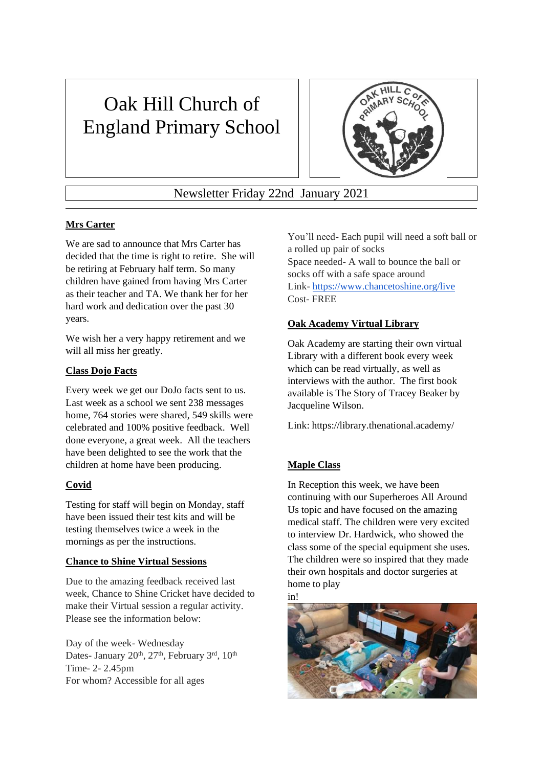# Oak Hill Church of England Primary School



Newsletter Friday 22nd January 2021

## **Mrs Carter**

We are sad to announce that Mrs Carter has decided that the time is right to retire. She will be retiring at February half term. So many children have gained from having Mrs Carter as their teacher and TA. We thank her for her hard work and dedication over the past 30 years.

We wish her a very happy retirement and we will all miss her greatly.

#### **Class Dojo Facts**

Every week we get our DoJo facts sent to us. Last week as a school we sent 238 messages home, 764 stories were shared, 549 skills were celebrated and 100% positive feedback. Well done everyone, a great week. All the teachers have been delighted to see the work that the children at home have been producing.

## **Covid**

Testing for staff will begin on Monday, staff have been issued their test kits and will be testing themselves twice a week in the mornings as per the instructions.

#### **Chance to Shine Virtual Sessions**

Due to the amazing feedback received last week, Chance to Shine Cricket have decided to make their Virtual session a regular activity. Please see the information below:

Day of the week- Wednesday Dates- January 20<sup>th</sup>, 27<sup>th</sup>, February 3<sup>rd</sup>, 10<sup>th</sup> Time- 2- 2.45pm For whom? Accessible for all ages

You'll need- Each pupil will need a soft ball or a rolled up pair of socks Space needed- A wall to bounce the ball or socks off with a safe space around Link- <https://www.chancetoshine.org/live> Cost- FREE

## **Oak Academy Virtual Library**

Oak Academy are starting their own virtual Library with a different book every week which can be read virtually, as well as interviews with the author. The first book available is The Story of Tracey Beaker by Jacqueline Wilson.

Link: https://library.thenational.academy/

## **Maple Class**

In Reception this week, we have been continuing with our Superheroes All Around Us topic and have focused on the amazing medical staff. The children were very excited to interview Dr. Hardwick, who showed the class some of the special equipment she uses. The children were so inspired that they made their own hospitals and doctor surgeries at home to play

in!

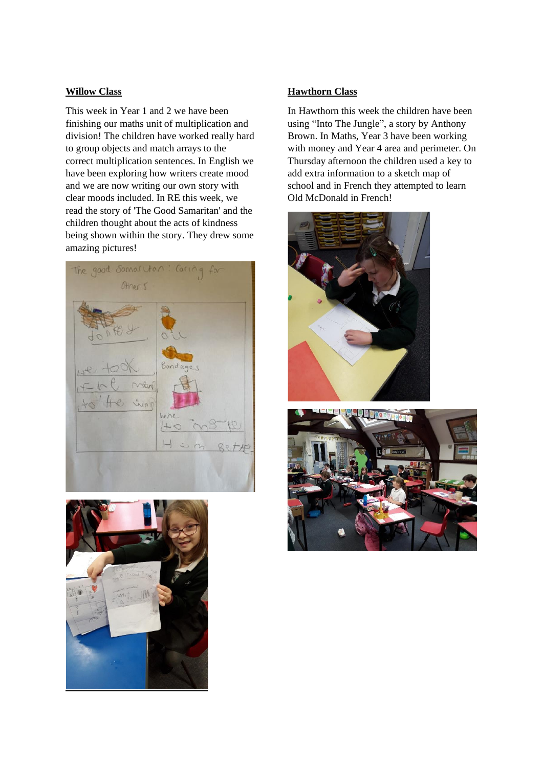#### **Willow Class**

This week in Year 1 and 2 we have been finishing our maths unit of multiplication and division! The children have worked really hard to group objects and match arrays to the correct multiplication sentences. In English we have been exploring how writers create mood and we are now writing our own story with clear moods included. In RE this week, we read the story of 'The Good Samaritan' and the children thought about the acts of kindness being shown within the story. They drew some amazing pictures!





#### **Hawthorn Class**

In Hawthorn this week the children have been using "Into The Jungle", a story by Anthony Brown. In Maths, Year 3 have been working with money and Year 4 area and perimeter. On Thursday afternoon the children used a key to add extra information to a sketch map of school and in French they attempted to learn Old McDonald in French!